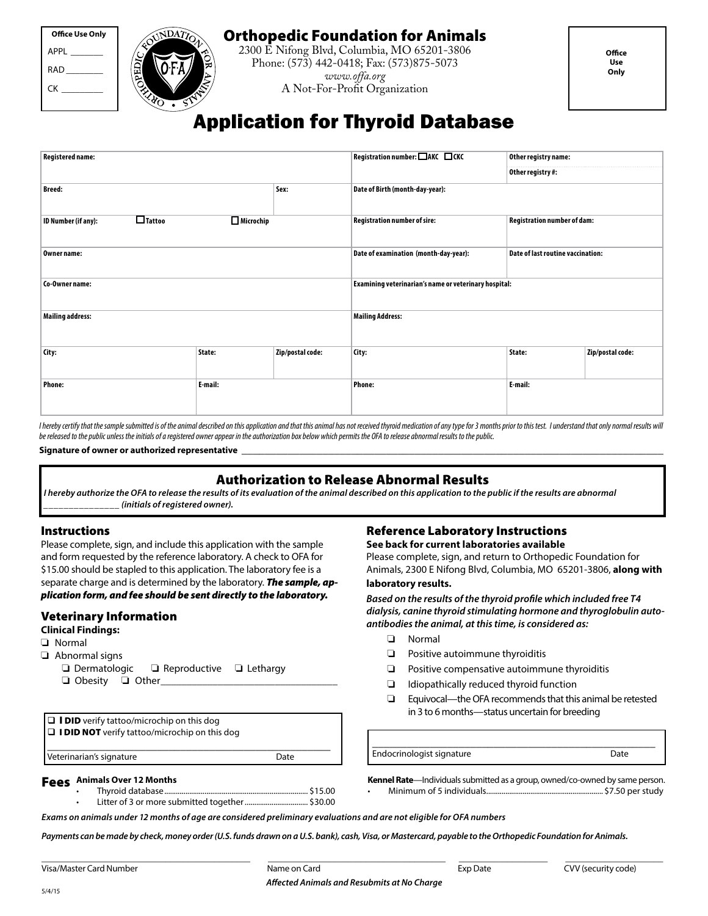# Orthopedic Foundation for Animals

2300 E Nifong Blvd, Columbia, MO 65201-3806 Phone: (573) 442-0418; Fax: (573)875-5073 *www.offa.org* A Not-For-Profit Organization

# Application for Thyroid Database

| <b>Registered name:</b> |               |           |                  | Registration number: □AKC □CKC                        | Other registry name:              |                  |
|-------------------------|---------------|-----------|------------------|-------------------------------------------------------|-----------------------------------|------------------|
|                         |               |           |                  |                                                       | Other registry #:                 |                  |
| <b>Breed:</b>           |               |           | Sex:             | Date of Birth (month-day-year):                       |                                   |                  |
| ID Number (if any):     | $\Box$ Tattoo | Microchip |                  | Registration number of sire:                          | Registration number of dam:       |                  |
| Owner name:             |               |           |                  | Date of examination (month-day-year):                 | Date of last routine vaccination: |                  |
| Co-Owner name:          |               |           |                  | Examining veterinarian's name or veterinary hospital: |                                   |                  |
| <b>Mailing address:</b> |               |           |                  | <b>Mailing Address:</b>                               |                                   |                  |
| City:                   |               | State:    | Zip/postal code: | City:                                                 | State:                            | Zip/postal code: |
| <b>Phone:</b>           |               | E-mail:   |                  | <b>Phone:</b>                                         | E-mail:                           |                  |

I hereby certify that the sample submitted is of the animal described on this application and that this animal has not received thyroid medication of any type for 3 months prior to this test. I understand that only normal *be released to the public unless the initials of a registered owner appear in the authorization box below which permits the OFA to release abnormal results to the public.*

**Signature of owner or authorized representative** \_\_\_\_\_\_\_\_\_\_\_\_\_\_\_\_\_\_\_\_\_\_\_\_\_\_\_\_\_\_\_\_\_\_\_\_\_\_\_\_\_\_\_\_\_\_\_\_\_\_\_\_\_\_\_\_\_\_\_\_\_\_\_\_\_\_\_\_\_\_\_\_\_

## Authorization to Release Abnormal Results

*I hereby authorize the OFA to release the results of its evaluation of the animal described on this application to the public if the results are abnormal \_\_\_\_\_\_\_\_\_\_\_\_\_\_\_ (initials of registered owner).*

#### Instructions

APPL RAD\_\_\_\_\_\_\_\_  $CK$ 

**Office Use Only**

Please complete, sign, and include this application with the sample and form requested by the reference laboratory. A check to OFA for \$15.00 should be stapled to this application. The laboratory fee is a separate charge and is determined by the laboratory. *The sample, application form, and fee should be sent directly to the laboratory.*

#### Veterinary Information

**Clinical Findings:**

- o Normal
- $\Box$  Abnormal signs
	- $\Box$  Dermatologic  $\Box$  Reproductive  $\Box$  Lethargy **Q** Obesity **Q** Other

Reference Laboratory Instructions

**See back for current laboratories available** Please complete, sign, and return to Orthopedic Foundation for Animals, 2300 E Nifong Blvd, Columbia, MO 65201-3806, **along with laboratory results.**

#### *Based on the results of the thyroid profile which included free T4 dialysis, canine thyroid stimulating hormone and thyroglobulin autoantibodies the animal, at this time, is considered as:*

- $\square$  Normal
- $\Box$  Positive autoimmune thyroiditis
- $\Box$  Positive compensative autoimmune thyroiditis
- $\Box$  Idiopathically reduced thyroid function
- $\Box$  Equivocal—the OFA recommends that this animal be retested in 3 to 6 months—status uncertain for breeding

\_\_\_\_\_\_\_\_\_\_\_\_\_\_\_\_\_\_\_\_\_\_\_\_\_\_\_\_\_\_\_\_\_\_\_\_\_\_\_\_\_\_\_\_\_\_\_\_\_ Endocrinologist signature Date

Fees **Animals Over 12 Months**

 $\Box$  I DID verify tattoo/microchip on this dog  $\square$  I DID NOT verify tattoo/microchip on this dog

> • Thyroid database........................................................................... \$15.00 • Litter of 3 or more submitted together................................. \$30.00

\_\_\_\_\_\_\_\_\_\_\_\_\_\_\_\_\_\_\_\_\_\_\_\_\_\_\_\_\_\_\_\_\_\_\_\_\_\_\_\_\_\_\_\_\_\_\_\_\_ Veterinarian's signature description of the Date

> **Kennel Rate**—Individuals submitted as a group, owned/co-owned by same person. • Minimum of 5 individuals............................................................. \$7.50 per study

*Exams on animals under 12 months of age are considered preliminary evaluations and are not eligible for OFA numbers*

*Payments can be made by check, money order (U.S. funds drawn on a U.S. bank), cash, Visa, or Mastercard, payable to the Orthopedic Foundation for Animals.*

5/4/15